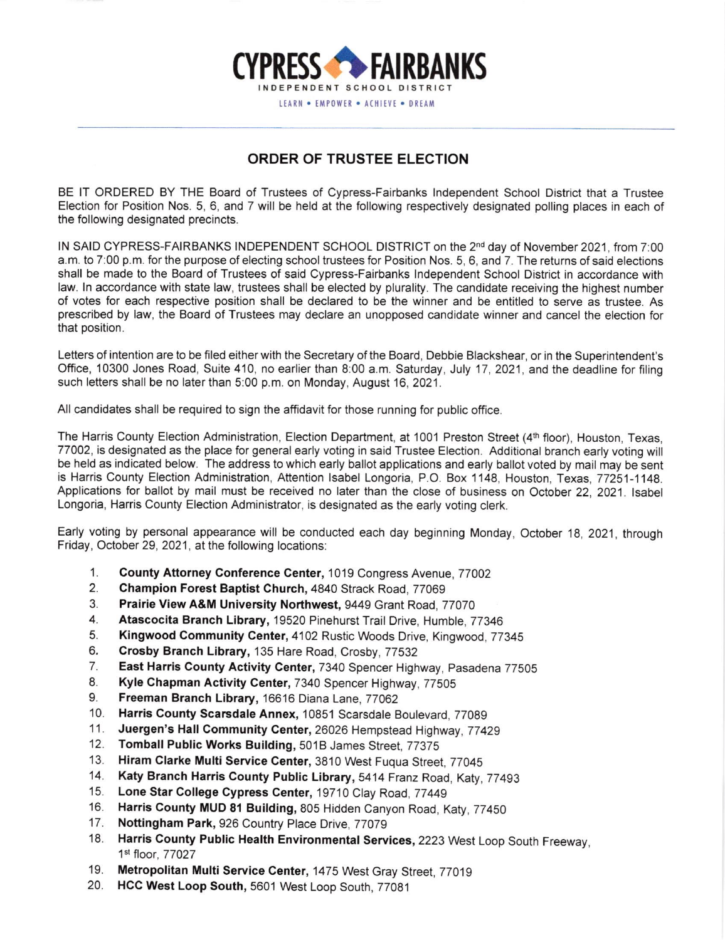

## ORDER OF TRUSTEE ELECTION

BE lT ORDERED BY THE Board of Trustees of Cypress-Fairbanks lndependent School Oistrict that a Trustee Election for Position Nos. 5, 6, and 7 will be held at the following respectively designated polling places in each of the following designated precincts.

IN SAID CYPRESS-FAIRBANKS INDEPENDENT SCHOOL DISTRICT on the 2<sup>nd</sup> day of November 2021, from 7:00 a.m. to 7:00 p.m. for the purpose of electing school trustees for Position Nos. 5, 6, and 7. The returns of said elections shall be made to the Board of Trustees of said Cypress-Fairbanks lndependent School District in accordance with law. In accordance with state law, trustees shall be elected by plurality. The candidate receiving the highest number of votes for each respective position shall be declared to be the winner and be entitled to serve as trustee. As prescribed by law, the Board of Trustees may declare an unopposed candidate winner and cancel the election for that position.

Letters of intention are to be filed either with the Secretary of the Board, Debbie Blackshear, or in the Superintendent's Office, 10300 Jones Road, Suite 410, no earlier than 8:00 a.m. Saturday, July 17, 2021, and the deadline for filing such letters shall be no later than 5:00 p.m. on Monday, August 16, 2021.

All candidates shall be required to sign the affidavit for those running for public office.

The Harris County Election Administration, Election Department, at 1001 Preston Street (4th floor), Houston, Texas, 77002, is designated as the place for general early voting in said Trustee Election. Additional branch early voting will be held as indicated below. The address to which early ballot applications and early ballot voted by mail may be sent is Harris County Election Administration, Attention lsabel Longoria, P.O. Box 1148, Houston, fexas,77251-1148. Applications for ballot by mail must be received no later than the close of business on October 22.2021. lsabel Longoria, Harris County Election Administrator, is designated as the early voting clerk.

Early voting by personal appearance will be conducted each day beginning Monday, October 18,2021, through Friday, October 29, 2021 , at the following locations:

- County Attorney Conference Center, 1019 Congress Avenue, 77002 1.
- Champion Forest Baptist Church, 4840 Strack Road, 77069 2.
- Prairie View A&M University Northwest, 9449 Grant Road, 77070 3.
- Atascocita Branch Library, '19520 Pinehurst Trail Drive, Humble, 77346 4.
- 5. Kingwood Community Center, 4102 Rustic Woods Drive, Kingwood, 77345
- Crosby Branch Library, 135 Hare Road, Crosby,77532 6.
- East Harris County Activity Center, 7340 Spencer Highway, pasadena 77505 7.
- Kyle Chapman Activity Center, 7340 Spencer Highway, 77505 8.
- Freeman Branch Library, 16616 Diana Lane, 77062 9.
- Harris County Scarsdale Annex, 10851 Scarsdale Boulevard, 77089 10.
- Juergen's Hall Community Center, 26026 Hempstead Highway, 77429  $11.$
- Tomball Public Works Building, 501B James Street, 77375 12.
- Hiram Clarke Multi Service Center, 3810 West Fuqua Street, 77045  $13<sub>1</sub>$
- Katy Branch Harris County Public Library, 5414 Franz Road, Katy, 77493 14.
- Lone Star College Cypress Center, 19710 Clay Road, 77449 15.
- Harris County MUD 81 Building, 805 Hidden Canyon Road, Katy, 77450 16.
- Nottingham Park, 926 Country Place Drive, 77079 17.
- Harris County Public Health Environmental Services, 2223 West Loop South Freeway, 1st floor, 77027 18.
- Metropolitan Multi Service Center, 1475 West Gray Street, 77019 19
- 20. HCC West Loop South, 5601 West Loop South, 77081